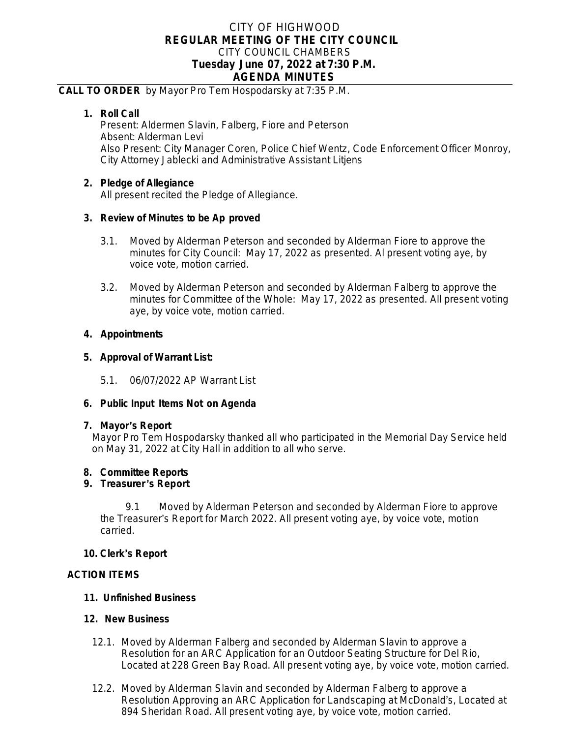# CITY OF HIGHWOOD **REGULAR MEETING OF THE CITY COUNCIL** CITY COUNCIL CHAMBERS **Tuesday June 07, 2022 at 7:30 P.M. AGENDA MINUTES**

### **CALL TO ORDER** by Mayor Pro Tem Hospodarsky at 7:35 P.M.

## **1. Roll Call**

Present: Aldermen Slavin, Falberg, Fiore and Peterson Absent: Alderman Levi Also Present: City Manager Coren, Police Chief Wentz, Code Enforcement Officer Monroy, City Attorney Jablecki and Administrative Assistant Litjens

## **2. Pledge of Allegiance**

All present recited the Pledge of Allegiance.

## **3. Review of Minutes to be Ap proved**

- 3.1. Moved by Alderman Peterson and seconded by Alderman Fiore to approve the minutes for City Council: May 17, 2022 as presented. Al present voting aye, by voice vote, motion carried.
- 3.2. Moved by Alderman Peterson and seconded by Alderman Falberg to approve the minutes for Committee of the Whole: May 17, 2022 as presented. All present voting aye, by voice vote, motion carried.

### **4. Appointments**

### **5. Approval of Warrant List:**

5.1. 06/07/2022 AP Warrant List

#### **6. Public Input Items Not on Agenda**

#### **7. Mayor**'**s Report**

Mayor Pro Tem Hospodarsky thanked all who participated in the Memorial Day Service held on May 31, 2022 at City Hall in addition to all who serve.

## **8. Committee Reports**

## **9. Treasurer** '**s Report**

9.1 Moved by Alderman Peterson and seconded by Alderman Fiore to approve the Treasurer's Report for March 2022. All present voting aye, by voice vote, motion carried.

#### **10. Clerk**'**s Report**

## **ACTION ITEMS**

## **11. Unfinished Business**

#### **12. New Business**

- 12.1. Moved by Alderman Falberg and seconded by Alderman Slavin to approve a Resolution for an ARC Application for an Outdoor Seating Structure for Del Rio, Located at 228 Green Bay Road. All present voting aye, by voice vote, motion carried.
- 12.2. Moved by Alderman Slavin and seconded by Alderman Falberg to approve a Resolution Approving an ARC Application for Landscaping at McDonald's, Located at 894 Sheridan Road. All present voting aye, by voice vote, motion carried.